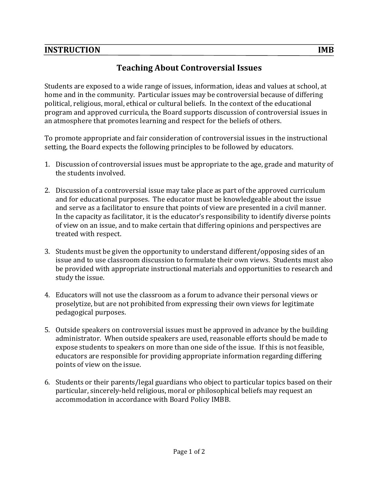## **INSTRUCTION IMB**

## **Teaching About Controversial Issues**

Students are exposed to a wide range of issues, information, ideas and values at school, at home and in the community. Particular issues may be controversial because of differing political, religious, moral, ethical or cultural beliefs. In the context of the educational program and approved curricula, the Board supports discussion of controversial issues in an atmosphere that promotes learning and respect for the beliefs of others.

To promote appropriate and fair consideration of controversial issues in the instructional setting, the Board expects the following principles to be followed by educators.

- 1. Discussion of controversial issues must be appropriate to the age, grade and maturity of the students involved.
- 2. Discussion of a controversial issue may take place as part of the approved curriculum and for educational purposes. The educator must be knowledgeable about the issue and serve as a facilitator to ensure that points of view are presented in a civil manner. In the capacity as facilitator, it is the educator's responsibility to identify diverse points of view on an issue, and to make certain that differing opinions and perspectives are treated with respect.
- 3. Students must be given the opportunity to understand different/opposing sides of an issue and to use classroom discussion to formulate their own views. Students must also be provided with appropriate instructional materials and opportunities to research and study the issue.
- 4. Educators will not use the classroom as a forum to advance their personal views or proselytize, but are not prohibited from expressing their own views for legitimate pedagogical purposes.
- 5. Outside speakers on controversial issues must be approved in advance by the building administrator. When outside speakers are used, reasonable efforts should be made to expose students to speakers on more than one side of the issue. If this is not feasible, educators are responsible for providing appropriate information regarding differing points of view on the issue.
- 6. Students or their parents/legal guardians who object to particular topics based on their particular, sincerely-held religious, moral or philosophical beliefs may request an accommodation in accordance with Board Policy IMBB.